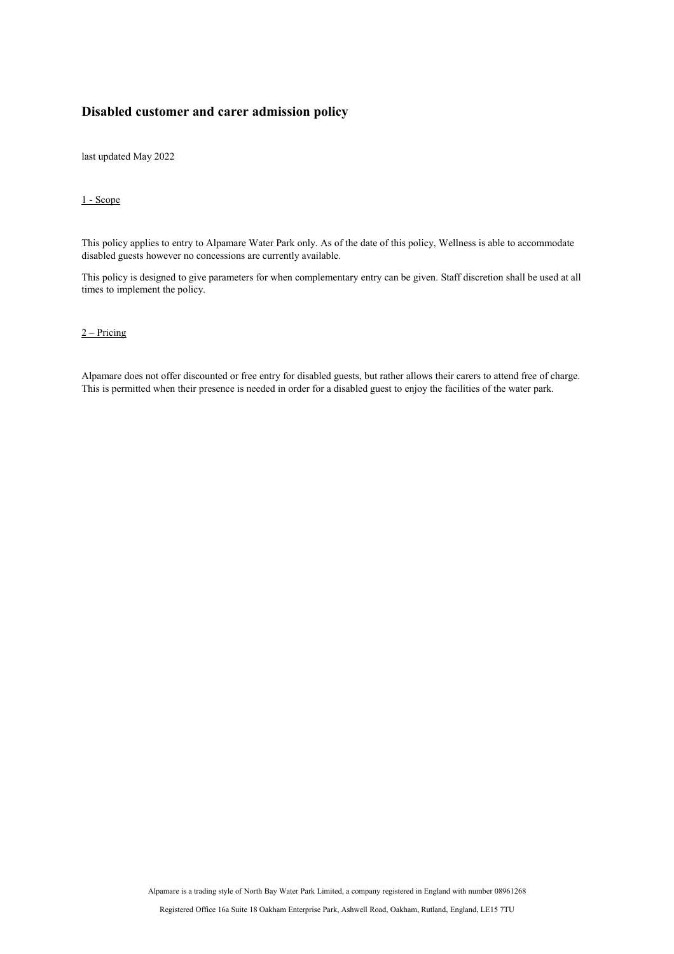## **Disabled customer and carer admission policy**

last updated May 2022

## 1 - Scope

This policy applies to entry to Alpamare Water Park only. As of the date of this policy, Wellness is able to accommodate disabled guests however no concessions are currently available.

This policy is designed to give parameters for when complementary entry can be given. Staff discretion shall be used at all times to implement the policy.

## $2$  – Pricing

Alpamare does not offer discounted or free entry for disabled guests, but rather allows their carers to attend free of charge. This is permitted when their presence is needed in order for a disabled guest to enjoy the facilities of the water park.